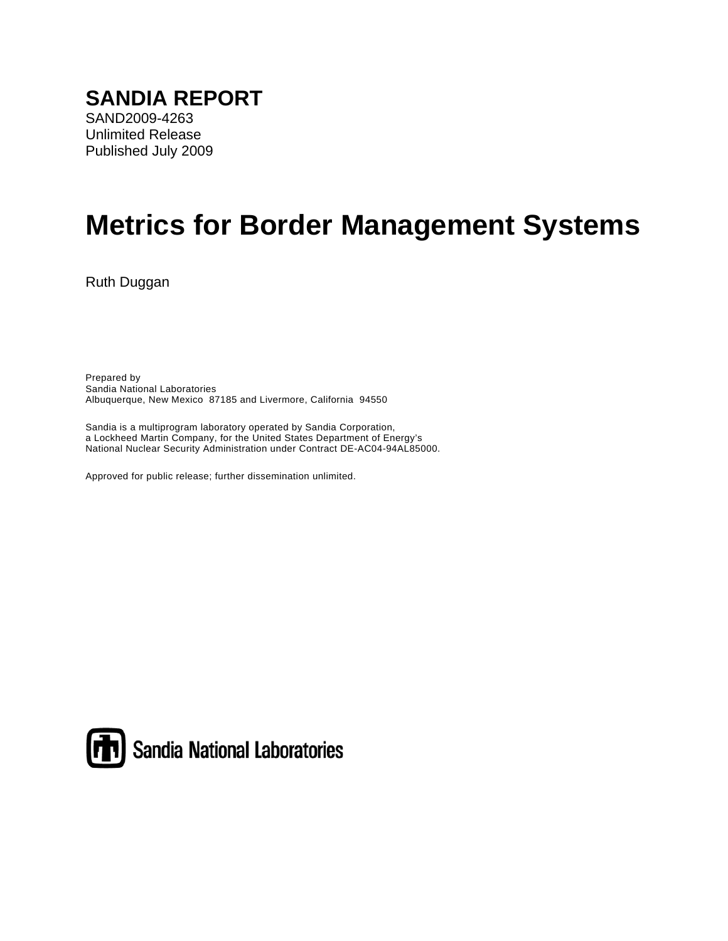# **Metrics for Border Management Systems**

Ruth Duggan

Prepared by Sandia National Laboratories Albuquerque, New Mexico 87185 and Livermore, California 94550

Sandia is a multiprogram laboratory operated by Sandia Corporation, a Lockheed Martin Company, for the United States Department of Energy's National Nuclear Security Administration under Contract DE-AC04-94AL85000.

Approved for public release; further dissemination unlimited.



Sandia National Laboratories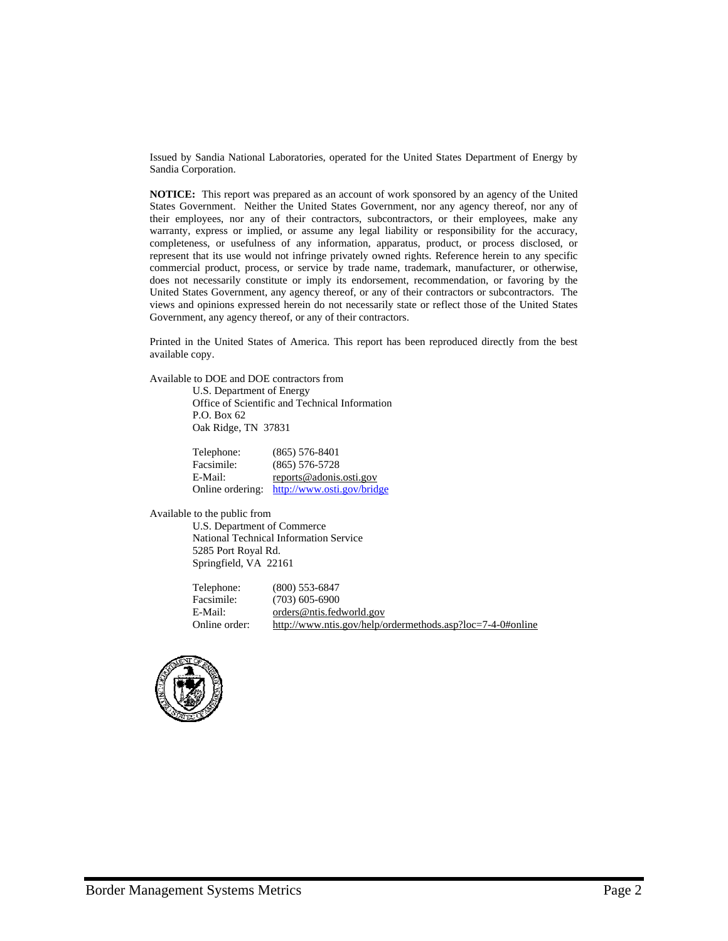Issued by Sandia National Laboratories, operated for the United States Department of Energy by Sandia Corporation.

**NOTICE:** This report was prepared as an account of work sponsored by an agency of the United States Government. Neither the United States Government, nor any agency thereof, nor any of their employees, nor any of their contractors, subcontractors, or their employees, make any warranty, express or implied, or assume any legal liability or responsibility for the accuracy, completeness, or usefulness of any information, apparatus, product, or process disclosed, or represent that its use would not infringe privately owned rights. Reference herein to any specific commercial product, process, or service by trade name, trademark, manufacturer, or otherwise, does not necessarily constitute or imply its endorsement, recommendation, or favoring by the United States Government, any agency thereof, or any of their contractors or subcontractors. The views and opinions expressed herein do not necessarily state or reflect those of the United States Government, any agency thereof, or any of their contractors.

Printed in the United States of America. This report has been reproduced directly from the best available copy.

Available to DOE and DOE contractors from

 U.S. Department of Energy Office of Scientific and Technical Information P.O. Box 62 Oak Ridge, TN 37831

| Telephone:       | $(865)$ 576-8401           |
|------------------|----------------------------|
| Facsimile:       | $(865)$ 576-5728           |
| E-Mail:          | reports@adonis.osti.gov    |
| Online ordering: | http://www.osti.gov/bridge |

Available to the public from U.S. Department of Commerce National Technical Information Service 5285 Port Royal Rd. Springfield, VA 22161

| $(800)$ 553-6847<br>Telephone:      |                                                            |
|-------------------------------------|------------------------------------------------------------|
| Facsimile:<br>$(703)$ 605-6900      |                                                            |
| orders@ntis.fedworld.gov<br>E-Mail: |                                                            |
| Online order:                       | http://www.ntis.gov/help/ordermethods.asp?loc=7-4-0#online |

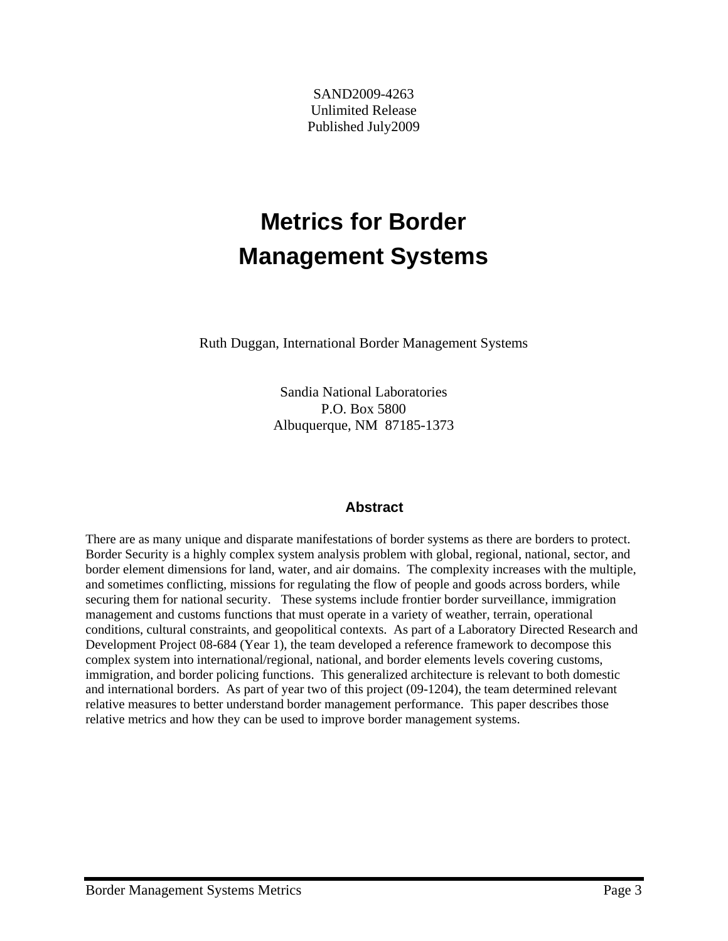SAND2009-4263 Unlimited Release Published July2009

# **Metrics for Border Management Systems**

Ruth Duggan, International Border Management Systems

Sandia National Laboratories P.O. Box 5800 Albuquerque, NM 87185-1373

#### **Abstract**

There are as many unique and disparate manifestations of border systems as there are borders to protect. Border Security is a highly complex system analysis problem with global, regional, national, sector, and border element dimensions for land, water, and air domains. The complexity increases with the multiple, and sometimes conflicting, missions for regulating the flow of people and goods across borders, while securing them for national security. These systems include frontier border surveillance, immigration management and customs functions that must operate in a variety of weather, terrain, operational conditions, cultural constraints, and geopolitical contexts. As part of a Laboratory Directed Research and Development Project 08-684 (Year 1), the team developed a reference framework to decompose this complex system into international/regional, national, and border elements levels covering customs, immigration, and border policing functions. This generalized architecture is relevant to both domestic and international borders. As part of year two of this project (09-1204), the team determined relevant relative measures to better understand border management performance. This paper describes those relative metrics and how they can be used to improve border management systems.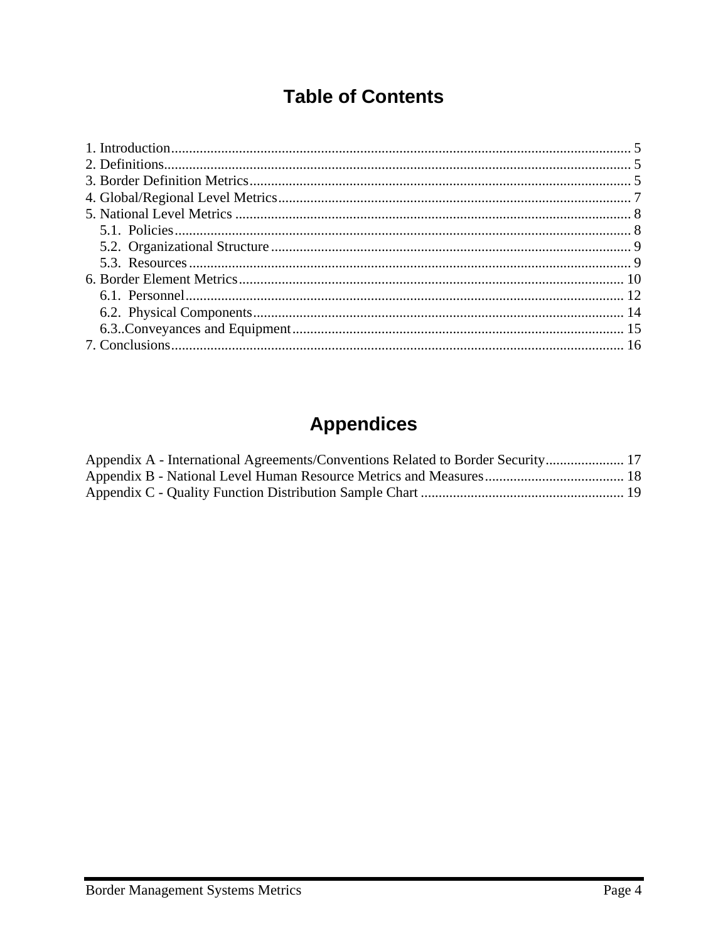## **Table of Contents**

## **Appendices**

| Appendix A - International Agreements/Conventions Related to Border Security 17 |  |
|---------------------------------------------------------------------------------|--|
|                                                                                 |  |
|                                                                                 |  |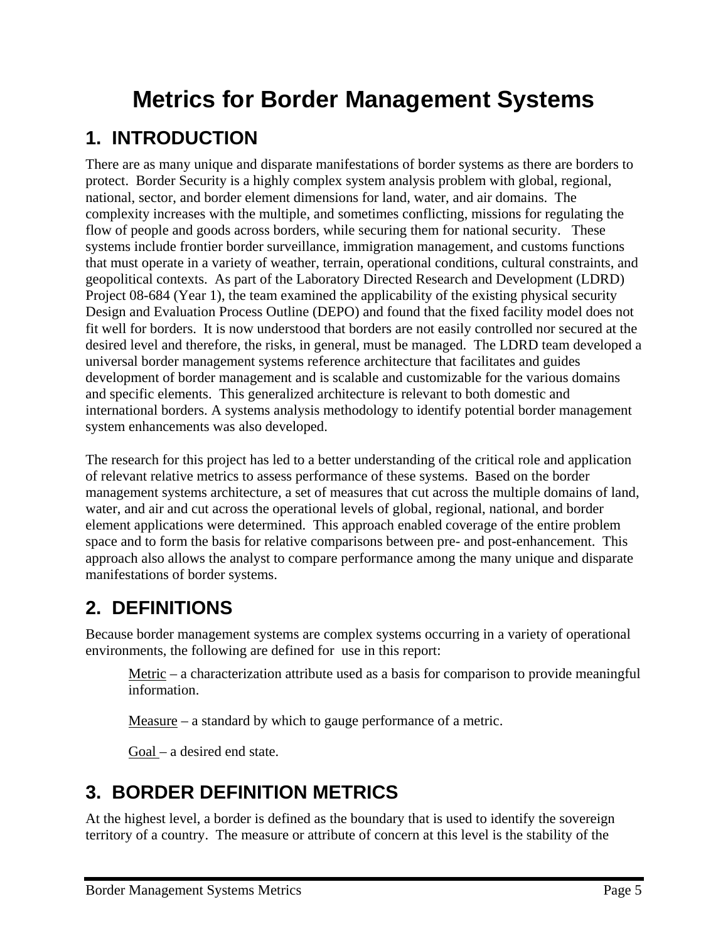## **Metrics for Border Management Systems**

## **1. INTRODUCTION**

There are as many unique and disparate manifestations of border systems as there are borders to protect. Border Security is a highly complex system analysis problem with global, regional, national, sector, and border element dimensions for land, water, and air domains. The complexity increases with the multiple, and sometimes conflicting, missions for regulating the flow of people and goods across borders, while securing them for national security. These systems include frontier border surveillance, immigration management, and customs functions that must operate in a variety of weather, terrain, operational conditions, cultural constraints, and geopolitical contexts. As part of the Laboratory Directed Research and Development (LDRD) Project 08-684 (Year 1), the team examined the applicability of the existing physical security Design and Evaluation Process Outline (DEPO) and found that the fixed facility model does not fit well for borders. It is now understood that borders are not easily controlled nor secured at the desired level and therefore, the risks, in general, must be managed. The LDRD team developed a universal border management systems reference architecture that facilitates and guides development of border management and is scalable and customizable for the various domains and specific elements. This generalized architecture is relevant to both domestic and international borders. A systems analysis methodology to identify potential border management system enhancements was also developed.

The research for this project has led to a better understanding of the critical role and application of relevant relative metrics to assess performance of these systems. Based on the border management systems architecture, a set of measures that cut across the multiple domains of land, water, and air and cut across the operational levels of global, regional, national, and border element applications were determined. This approach enabled coverage of the entire problem space and to form the basis for relative comparisons between pre- and post-enhancement. This approach also allows the analyst to compare performance among the many unique and disparate manifestations of border systems.

## **2. DEFINITIONS**

Because border management systems are complex systems occurring in a variety of operational environments, the following are defined for use in this report:

Metric – a characterization attribute used as a basis for comparison to provide meaningful information.

Measure – a standard by which to gauge performance of a metric.

Goal – a desired end state.

## **3. BORDER DEFINITION METRICS**

At the highest level, a border is defined as the boundary that is used to identify the sovereign territory of a country. The measure or attribute of concern at this level is the stability of the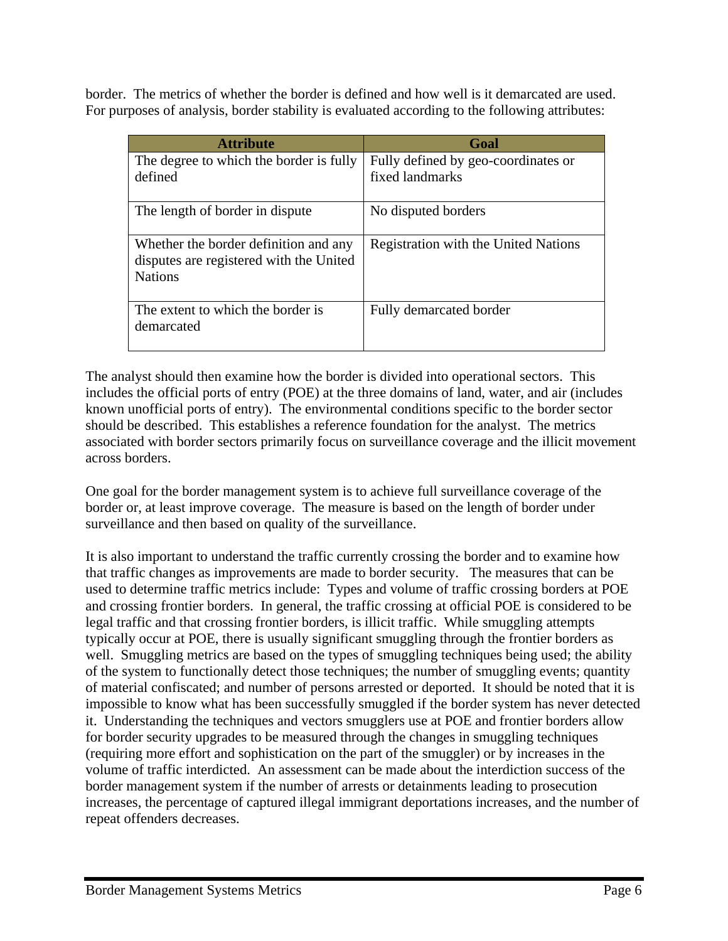border. The metrics of whether the border is defined and how well is it demarcated are used. For purposes of analysis, border stability is evaluated according to the following attributes:

| <b>Attribute</b>                        | Goal                                        |
|-----------------------------------------|---------------------------------------------|
| The degree to which the border is fully | Fully defined by geo-coordinates or         |
| defined                                 | fixed landmarks                             |
|                                         |                                             |
| The length of border in dispute         | No disputed borders                         |
|                                         |                                             |
| Whether the border definition and any   | <b>Registration with the United Nations</b> |
| disputes are registered with the United |                                             |
| <b>Nations</b>                          |                                             |
|                                         |                                             |
| The extent to which the border is       | Fully demarcated border                     |
| demarcated                              |                                             |
|                                         |                                             |

The analyst should then examine how the border is divided into operational sectors. This includes the official ports of entry (POE) at the three domains of land, water, and air (includes known unofficial ports of entry). The environmental conditions specific to the border sector should be described. This establishes a reference foundation for the analyst. The metrics associated with border sectors primarily focus on surveillance coverage and the illicit movement across borders.

One goal for the border management system is to achieve full surveillance coverage of the border or, at least improve coverage. The measure is based on the length of border under surveillance and then based on quality of the surveillance.

It is also important to understand the traffic currently crossing the border and to examine how that traffic changes as improvements are made to border security. The measures that can be used to determine traffic metrics include: Types and volume of traffic crossing borders at POE and crossing frontier borders. In general, the traffic crossing at official POE is considered to be legal traffic and that crossing frontier borders, is illicit traffic. While smuggling attempts typically occur at POE, there is usually significant smuggling through the frontier borders as well. Smuggling metrics are based on the types of smuggling techniques being used; the ability of the system to functionally detect those techniques; the number of smuggling events; quantity of material confiscated; and number of persons arrested or deported. It should be noted that it is impossible to know what has been successfully smuggled if the border system has never detected it. Understanding the techniques and vectors smugglers use at POE and frontier borders allow for border security upgrades to be measured through the changes in smuggling techniques (requiring more effort and sophistication on the part of the smuggler) or by increases in the volume of traffic interdicted. An assessment can be made about the interdiction success of the border management system if the number of arrests or detainments leading to prosecution increases, the percentage of captured illegal immigrant deportations increases, and the number of repeat offenders decreases.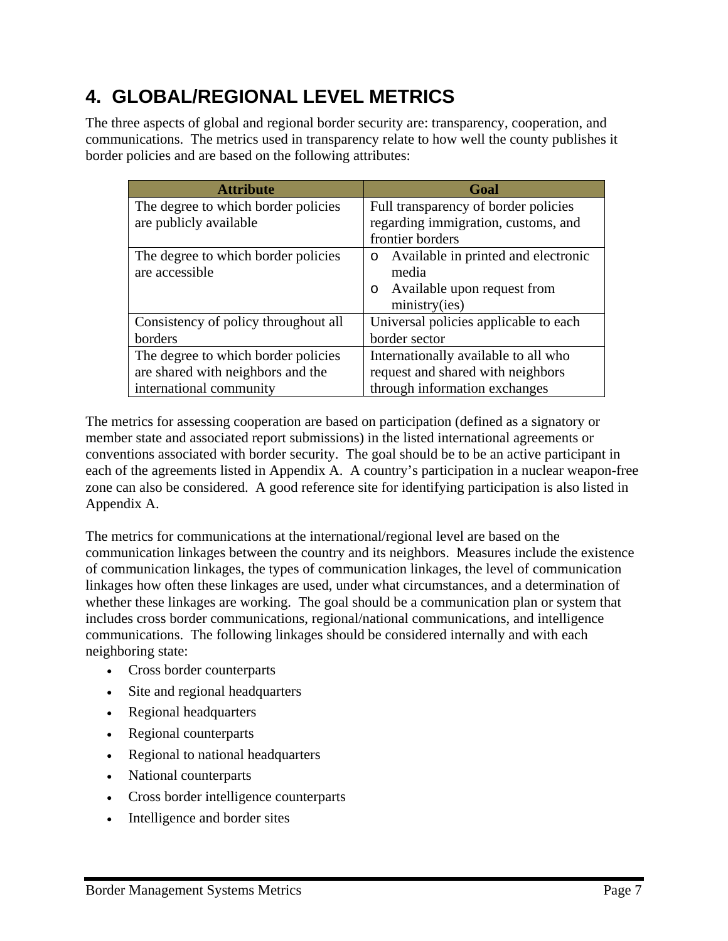## **4. GLOBAL/REGIONAL LEVEL METRICS**

The three aspects of global and regional border security are: transparency, cooperation, and communications. The metrics used in transparency relate to how well the county publishes it border policies and are based on the following attributes:

| <b>Attribute</b>                     | Goal                                           |
|--------------------------------------|------------------------------------------------|
| The degree to which border policies  | Full transparency of border policies           |
| are publicly available               | regarding immigration, customs, and            |
|                                      | frontier borders                               |
| The degree to which border policies  | Available in printed and electronic<br>$\circ$ |
| are accessible                       | media                                          |
|                                      | Available upon request from<br>$\circ$         |
|                                      | ministry(ies)                                  |
| Consistency of policy throughout all | Universal policies applicable to each          |
| borders                              | border sector                                  |
| The degree to which border policies  | Internationally available to all who           |
| are shared with neighbors and the    | request and shared with neighbors              |
| international community              | through information exchanges                  |

The metrics for assessing cooperation are based on participation (defined as a signatory or member state and associated report submissions) in the listed international agreements or conventions associated with border security. The goal should be to be an active participant in each of the agreements listed in Appendix A. A country's participation in a nuclear weapon-free zone can also be considered. A good reference site for identifying participation is also listed in Appendix A.

The metrics for communications at the international/regional level are based on the communication linkages between the country and its neighbors. Measures include the existence of communication linkages, the types of communication linkages, the level of communication linkages how often these linkages are used, under what circumstances, and a determination of whether these linkages are working. The goal should be a communication plan or system that includes cross border communications, regional/national communications, and intelligence communications. The following linkages should be considered internally and with each neighboring state:

- Cross border counterparts
- Site and regional headquarters
- Regional headquarters
- Regional counterparts
- Regional to national headquarters
- National counterparts
- Cross border intelligence counterparts
- Intelligence and border sites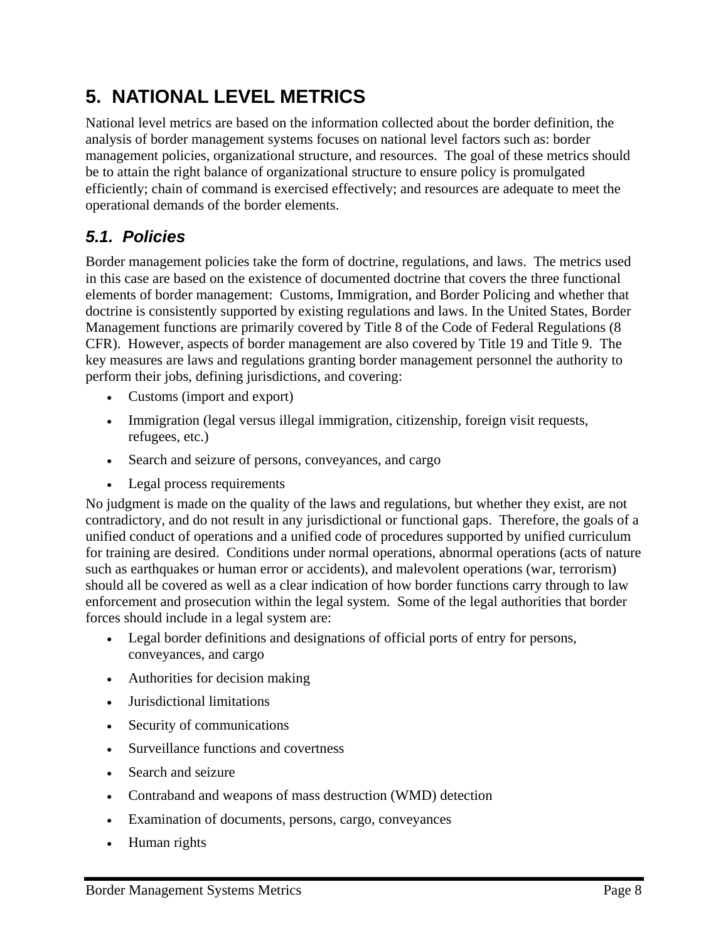## **5. NATIONAL LEVEL METRICS**

National level metrics are based on the information collected about the border definition, the analysis of border management systems focuses on national level factors such as: border management policies, organizational structure, and resources. The goal of these metrics should be to attain the right balance of organizational structure to ensure policy is promulgated efficiently; chain of command is exercised effectively; and resources are adequate to meet the operational demands of the border elements.

### *5.1. Policies*

Border management policies take the form of doctrine, regulations, and laws. The metrics used in this case are based on the existence of documented doctrine that covers the three functional elements of border management: Customs, Immigration, and Border Policing and whether that doctrine is consistently supported by existing regulations and laws. In the United States, Border Management functions are primarily covered by Title 8 of the Code of Federal Regulations (8 CFR). However, aspects of border management are also covered by Title 19 and Title 9. The key measures are laws and regulations granting border management personnel the authority to perform their jobs, defining jurisdictions, and covering:

- Customs (import and export)
- Immigration (legal versus illegal immigration, citizenship, foreign visit requests, refugees, etc.)
- Search and seizure of persons, conveyances, and cargo
- Legal process requirements

No judgment is made on the quality of the laws and regulations, but whether they exist, are not contradictory, and do not result in any jurisdictional or functional gaps. Therefore, the goals of a unified conduct of operations and a unified code of procedures supported by unified curriculum for training are desired. Conditions under normal operations, abnormal operations (acts of nature such as earthquakes or human error or accidents), and malevolent operations (war, terrorism) should all be covered as well as a clear indication of how border functions carry through to law enforcement and prosecution within the legal system. Some of the legal authorities that border forces should include in a legal system are:

- Legal border definitions and designations of official ports of entry for persons, conveyances, and cargo
- Authorities for decision making
- Jurisdictional limitations
- Security of communications
- Surveillance functions and covertness
- Search and seizure
- Contraband and weapons of mass destruction (WMD) detection
- Examination of documents, persons, cargo, conveyances
- Human rights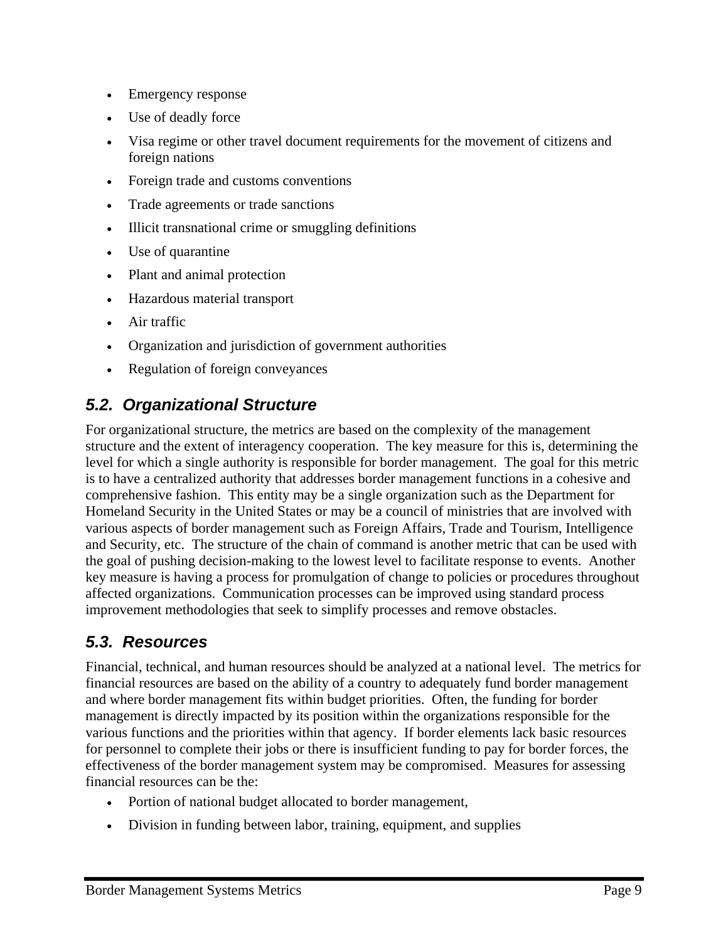- Emergency response
- Use of deadly force
- Visa regime or other travel document requirements for the movement of citizens and foreign nations
- Foreign trade and customs conventions
- Trade agreements or trade sanctions
- Illicit transnational crime or smuggling definitions
- Use of quarantine
- Plant and animal protection
- Hazardous material transport
- Air traffic
- Organization and jurisdiction of government authorities
- Regulation of foreign conveyances

### *5.2. Organizational Structure*

For organizational structure, the metrics are based on the complexity of the management structure and the extent of interagency cooperation. The key measure for this is, determining the level for which a single authority is responsible for border management. The goal for this metric is to have a centralized authority that addresses border management functions in a cohesive and comprehensive fashion. This entity may be a single organization such as the Department for Homeland Security in the United States or may be a council of ministries that are involved with various aspects of border management such as Foreign Affairs, Trade and Tourism, Intelligence and Security, etc. The structure of the chain of command is another metric that can be used with the goal of pushing decision-making to the lowest level to facilitate response to events. Another key measure is having a process for promulgation of change to policies or procedures throughout affected organizations. Communication processes can be improved using standard process improvement methodologies that seek to simplify processes and remove obstacles.

### *5.3. Resources*

Financial, technical, and human resources should be analyzed at a national level. The metrics for financial resources are based on the ability of a country to adequately fund border management and where border management fits within budget priorities. Often, the funding for border management is directly impacted by its position within the organizations responsible for the various functions and the priorities within that agency. If border elements lack basic resources for personnel to complete their jobs or there is insufficient funding to pay for border forces, the effectiveness of the border management system may be compromised. Measures for assessing financial resources can be the:

- Portion of national budget allocated to border management,
- Division in funding between labor, training, equipment, and supplies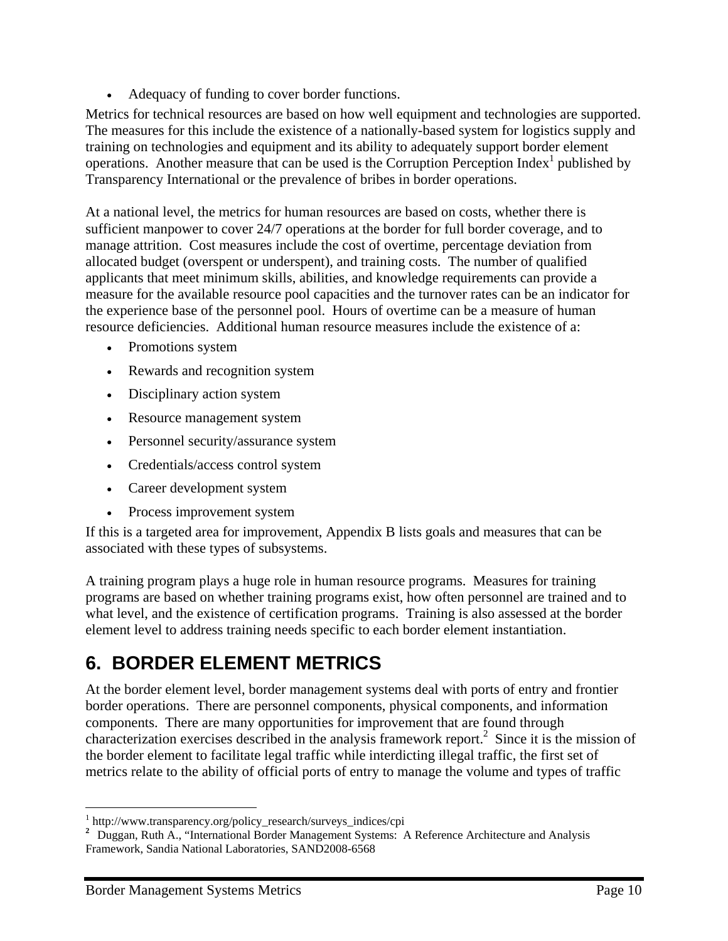Adequacy of funding to cover border functions.

Metrics for technical resources are based on how well equipment and technologies are supported. The measures for this include the existence of a nationally-based system for logistics supply and training on technologies and equipment and its ability to adequately support border element operations. Another measure that can be used is the Corruption Perception Index<sup>1</sup> published by Transparency International or the prevalence of bribes in border operations.

At a national level, the metrics for human resources are based on costs, whether there is sufficient manpower to cover 24/7 operations at the border for full border coverage, and to manage attrition. Cost measures include the cost of overtime, percentage deviation from allocated budget (overspent or underspent), and training costs. The number of qualified applicants that meet minimum skills, abilities, and knowledge requirements can provide a measure for the available resource pool capacities and the turnover rates can be an indicator for the experience base of the personnel pool. Hours of overtime can be a measure of human resource deficiencies. Additional human resource measures include the existence of a:

- Promotions system
- Rewards and recognition system
- Disciplinary action system
- Resource management system
- Personnel security/assurance system
- Credentials/access control system
- Career development system
- Process improvement system

If this is a targeted area for improvement, Appendix B lists goals and measures that can be associated with these types of subsystems.

A training program plays a huge role in human resource programs. Measures for training programs are based on whether training programs exist, how often personnel are trained and to what level, and the existence of certification programs. Training is also assessed at the border element level to address training needs specific to each border element instantiation.

## **6. BORDER ELEMENT METRICS**

At the border element level, border management systems deal with ports of entry and frontier border operations. There are personnel components, physical components, and information components. There are many opportunities for improvement that are found through characterization exercises described in the analysis framework report.<sup>2</sup> Since it is the mission of the border element to facilitate legal traffic while interdicting illegal traffic, the first set of metrics relate to the ability of official ports of entry to manage the volume and types of traffic

1

 $\frac{1}{1}$  http://www.transparency.org/policy research/surveys indices/cpi

<sup>&</sup>lt;sup>2</sup> Duggan, Ruth A., "International Border Management Systems: A Reference Architecture and Analysis Framework, Sandia National Laboratories, SAND2008-6568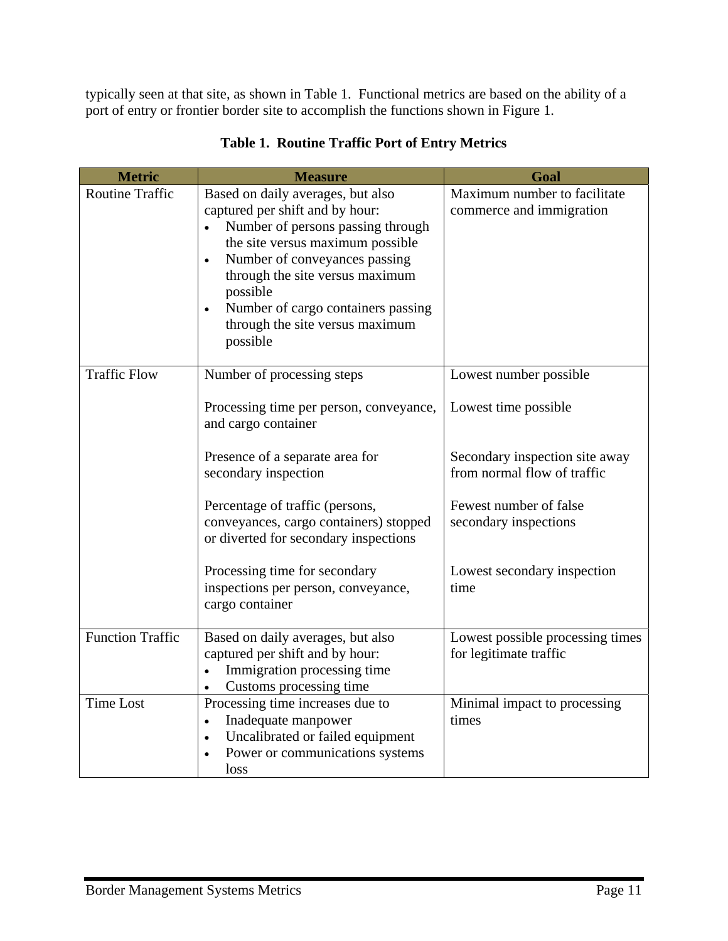typically seen at that site, as shown in Table 1. Functional metrics are based on the ability of a port of entry or frontier border site to accomplish the functions shown in Figure 1.

| <b>Metric</b>           | <b>Measure</b>                                                                                                                                                                                                                                                                                                                  | Goal                                                          |
|-------------------------|---------------------------------------------------------------------------------------------------------------------------------------------------------------------------------------------------------------------------------------------------------------------------------------------------------------------------------|---------------------------------------------------------------|
| <b>Routine Traffic</b>  | Based on daily averages, but also<br>captured per shift and by hour:<br>Number of persons passing through<br>the site versus maximum possible<br>Number of conveyances passing<br>$\bullet$<br>through the site versus maximum<br>possible<br>Number of cargo containers passing<br>through the site versus maximum<br>possible | Maximum number to facilitate<br>commerce and immigration      |
| <b>Traffic Flow</b>     | Number of processing steps                                                                                                                                                                                                                                                                                                      | Lowest number possible                                        |
|                         | Processing time per person, conveyance,<br>and cargo container                                                                                                                                                                                                                                                                  | Lowest time possible                                          |
|                         | Presence of a separate area for<br>secondary inspection                                                                                                                                                                                                                                                                         | Secondary inspection site away<br>from normal flow of traffic |
|                         | Percentage of traffic (persons,<br>conveyances, cargo containers) stopped<br>or diverted for secondary inspections                                                                                                                                                                                                              | Fewest number of false<br>secondary inspections               |
|                         | Processing time for secondary<br>inspections per person, conveyance,<br>cargo container                                                                                                                                                                                                                                         | Lowest secondary inspection<br>time                           |
| <b>Function Traffic</b> | Based on daily averages, but also<br>captured per shift and by hour:<br>Immigration processing time<br>Customs processing time                                                                                                                                                                                                  | Lowest possible processing times<br>for legitimate traffic    |
| <b>Time Lost</b>        | Processing time increases due to<br>Inadequate manpower<br>$\bullet$<br>Uncalibrated or failed equipment<br>Power or communications systems<br>loss                                                                                                                                                                             | Minimal impact to processing<br>times                         |

#### **Table 1. Routine Traffic Port of Entry Metrics**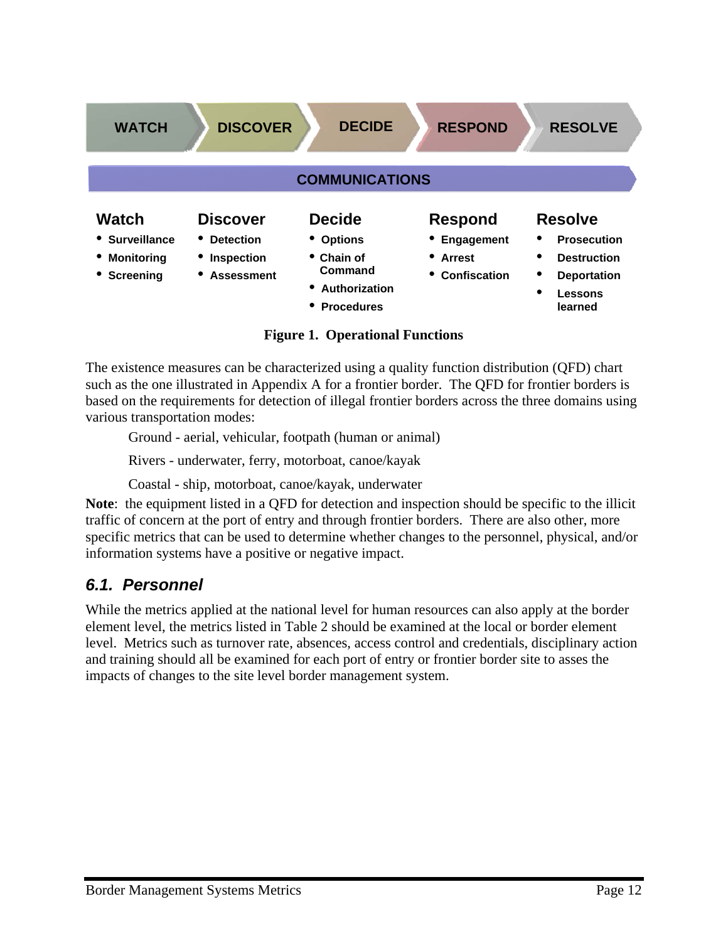

**Figure 1. Operational Functions** 

The existence measures can be characterized using a quality function distribution (QFD) chart such as the one illustrated in Appendix A for a frontier border. The QFD for frontier borders is based on the requirements for detection of illegal frontier borders across the three domains using various transportation modes:

Ground - aerial, vehicular, footpath (human or animal)

Rivers - underwater, ferry, motorboat, canoe/kayak

Coastal - ship, motorboat, canoe/kayak, underwater

**Note**: the equipment listed in a QFD for detection and inspection should be specific to the illicit traffic of concern at the port of entry and through frontier borders. There are also other, more specific metrics that can be used to determine whether changes to the personnel, physical, and/or information systems have a positive or negative impact.

### *6.1. Personnel*

While the metrics applied at the national level for human resources can also apply at the border element level, the metrics listed in Table 2 should be examined at the local or border element level. Metrics such as turnover rate, absences, access control and credentials, disciplinary action and training should all be examined for each port of entry or frontier border site to asses the impacts of changes to the site level border management system.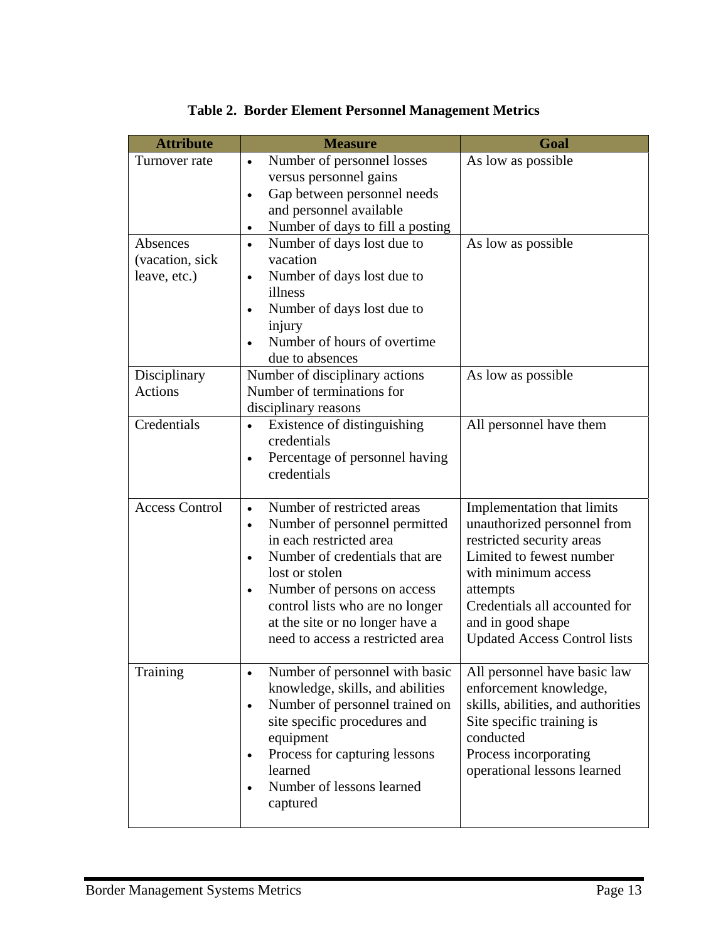| <b>Attribute</b>                            | <b>Measure</b>                                                                                                                                                                                                                                                                                                             | Goal                                                                                                                                                                                                                                               |
|---------------------------------------------|----------------------------------------------------------------------------------------------------------------------------------------------------------------------------------------------------------------------------------------------------------------------------------------------------------------------------|----------------------------------------------------------------------------------------------------------------------------------------------------------------------------------------------------------------------------------------------------|
| Turnover rate                               | Number of personnel losses<br>$\bullet$<br>versus personnel gains<br>Gap between personnel needs<br>$\bullet$<br>and personnel available<br>Number of days to fill a posting<br>$\bullet$                                                                                                                                  | As low as possible                                                                                                                                                                                                                                 |
| Absences<br>(vacation, sick<br>leave, etc.) | Number of days lost due to<br>vacation<br>Number of days lost due to<br>$\bullet$<br>illness<br>Number of days lost due to<br>injury<br>Number of hours of overtime<br>due to absences                                                                                                                                     | As low as possible                                                                                                                                                                                                                                 |
| Disciplinary<br><b>Actions</b>              | Number of disciplinary actions<br>Number of terminations for<br>disciplinary reasons                                                                                                                                                                                                                                       | As low as possible                                                                                                                                                                                                                                 |
| Credentials                                 | Existence of distinguishing<br>credentials<br>Percentage of personnel having<br>$\bullet$<br>credentials                                                                                                                                                                                                                   | All personnel have them                                                                                                                                                                                                                            |
| <b>Access Control</b>                       | Number of restricted areas<br>$\bullet$<br>Number of personnel permitted<br>in each restricted area<br>Number of credentials that are<br>$\bullet$<br>lost or stolen<br>Number of persons on access<br>$\bullet$<br>control lists who are no longer<br>at the site or no longer have a<br>need to access a restricted area | Implementation that limits<br>unauthorized personnel from<br>restricted security areas<br>Limited to fewest number<br>with minimum access<br>attempts<br>Credentials all accounted for<br>and in good shape<br><b>Updated Access Control lists</b> |
| Training                                    | Number of personnel with basic<br>knowledge, skills, and abilities<br>Number of personnel trained on<br>$\bullet$<br>site specific procedures and<br>equipment<br>Process for capturing lessons<br>learned<br>Number of lessons learned<br>captured                                                                        | All personnel have basic law<br>enforcement knowledge,<br>skills, abilities, and authorities<br>Site specific training is<br>conducted<br>Process incorporating<br>operational lessons learned                                                     |

#### **Table 2. Border Element Personnel Management Metrics**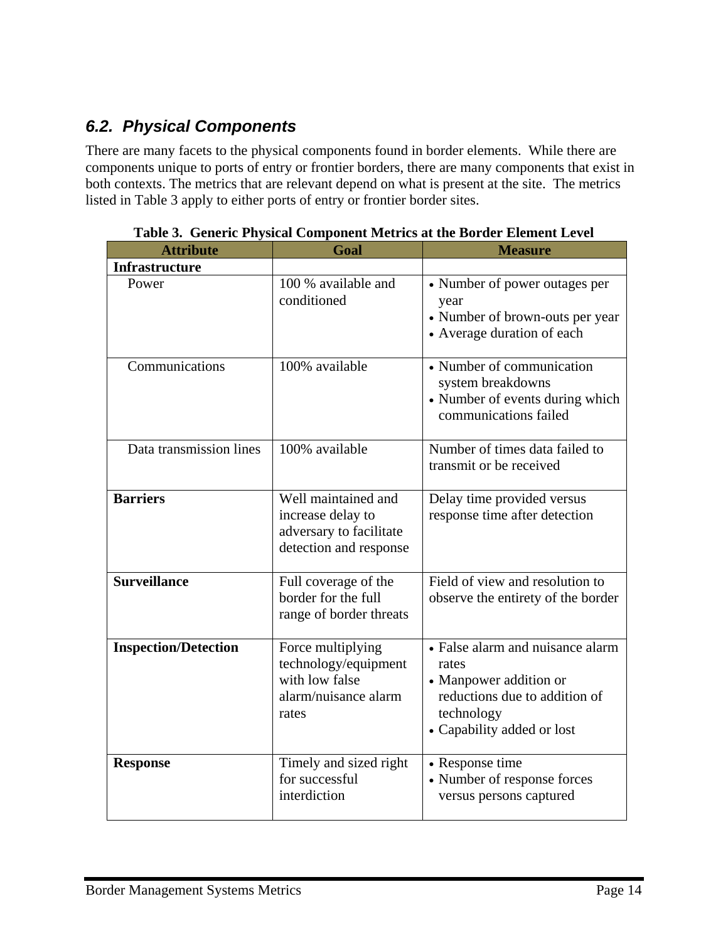### *6.2. Physical Components*

There are many facets to the physical components found in border elements. While there are components unique to ports of entry or frontier borders, there are many components that exist in both contexts. The metrics that are relevant depend on what is present at the site. The metrics listed in Table 3 apply to either ports of entry or frontier border sites.

| <b>Attribute</b>            | Goal                                                                                          | <b>Measure</b>                                                                                                                                   |
|-----------------------------|-----------------------------------------------------------------------------------------------|--------------------------------------------------------------------------------------------------------------------------------------------------|
| <b>Infrastructure</b>       |                                                                                               |                                                                                                                                                  |
| Power                       | 100 % available and<br>conditioned                                                            | • Number of power outages per<br>year<br>• Number of brown-outs per year<br>• Average duration of each                                           |
| Communications              | 100% available                                                                                | • Number of communication<br>system breakdowns<br>• Number of events during which<br>communications failed                                       |
| Data transmission lines     | 100% available                                                                                | Number of times data failed to<br>transmit or be received                                                                                        |
| <b>Barriers</b>             | Well maintained and<br>increase delay to<br>adversary to facilitate<br>detection and response | Delay time provided versus<br>response time after detection                                                                                      |
| <b>Surveillance</b>         | Full coverage of the<br>border for the full<br>range of border threats                        | Field of view and resolution to<br>observe the entirety of the border                                                                            |
| <b>Inspection/Detection</b> | Force multiplying<br>technology/equipment<br>with low false<br>alarm/nuisance alarm<br>rates  | • False alarm and nuisance alarm<br>rates<br>• Manpower addition or<br>reductions due to addition of<br>technology<br>• Capability added or lost |
| <b>Response</b>             | Timely and sized right<br>for successful<br>interdiction                                      | • Response time<br>• Number of response forces<br>versus persons captured                                                                        |

**Table 3. Generic Physical Component Metrics at the Border Element Level**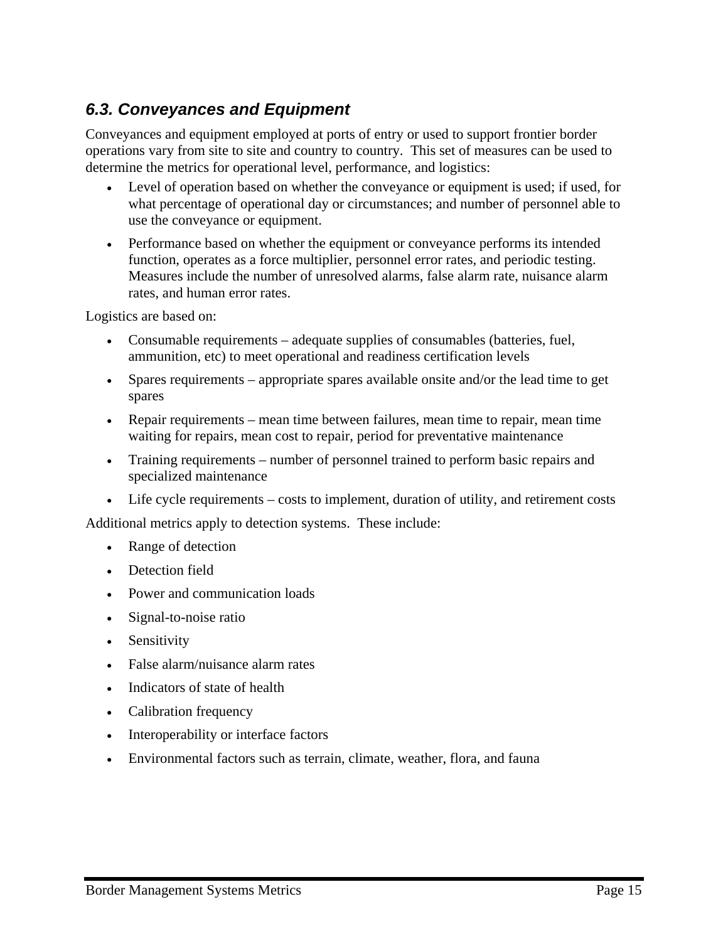### *6.3. Conveyances and Equipment*

Conveyances and equipment employed at ports of entry or used to support frontier border operations vary from site to site and country to country. This set of measures can be used to determine the metrics for operational level, performance, and logistics:

- Level of operation based on whether the conveyance or equipment is used; if used, for what percentage of operational day or circumstances; and number of personnel able to use the conveyance or equipment.
- Performance based on whether the equipment or conveyance performs its intended function, operates as a force multiplier, personnel error rates, and periodic testing. Measures include the number of unresolved alarms, false alarm rate, nuisance alarm rates, and human error rates.

Logistics are based on:

- Consumable requirements adequate supplies of consumables (batteries, fuel, ammunition, etc) to meet operational and readiness certification levels
- Spares requirements appropriate spares available onsite and/or the lead time to get spares
- Repair requirements mean time between failures, mean time to repair, mean time waiting for repairs, mean cost to repair, period for preventative maintenance
- Training requirements number of personnel trained to perform basic repairs and specialized maintenance
- Life cycle requirements costs to implement, duration of utility, and retirement costs

Additional metrics apply to detection systems. These include:

- Range of detection
- Detection field
- Power and communication loads
- Signal-to-noise ratio
- Sensitivity
- False alarm/nuisance alarm rates
- Indicators of state of health
- Calibration frequency
- Interoperability or interface factors
- Environmental factors such as terrain, climate, weather, flora, and fauna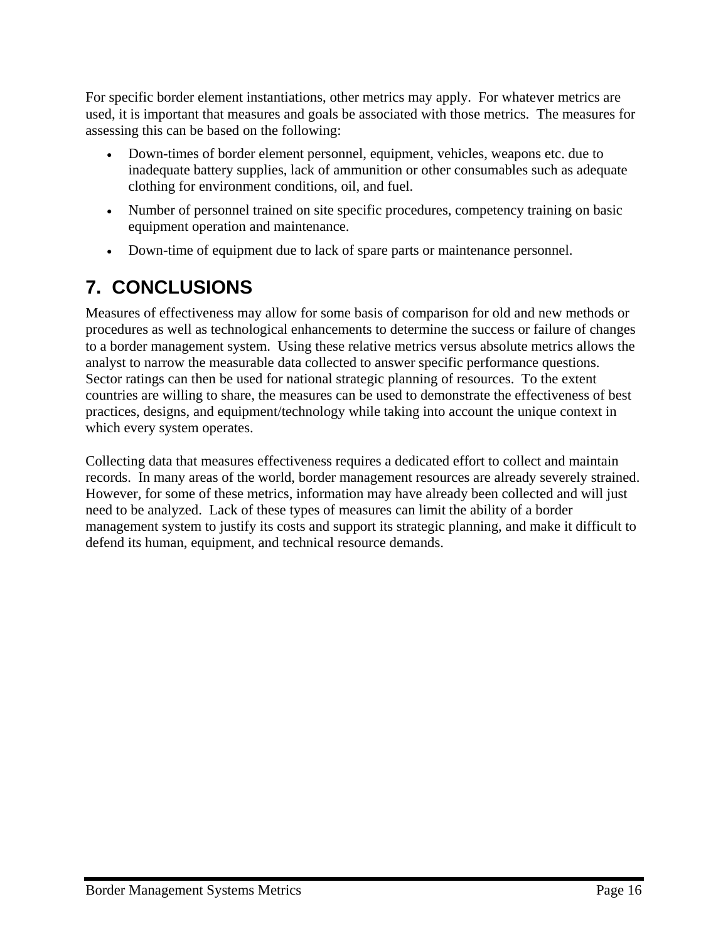For specific border element instantiations, other metrics may apply. For whatever metrics are used, it is important that measures and goals be associated with those metrics. The measures for assessing this can be based on the following:

- Down-times of border element personnel, equipment, vehicles, weapons etc. due to inadequate battery supplies, lack of ammunition or other consumables such as adequate clothing for environment conditions, oil, and fuel.
- Number of personnel trained on site specific procedures, competency training on basic equipment operation and maintenance.
- Down-time of equipment due to lack of spare parts or maintenance personnel.

## **7. CONCLUSIONS**

Measures of effectiveness may allow for some basis of comparison for old and new methods or procedures as well as technological enhancements to determine the success or failure of changes to a border management system. Using these relative metrics versus absolute metrics allows the analyst to narrow the measurable data collected to answer specific performance questions. Sector ratings can then be used for national strategic planning of resources. To the extent countries are willing to share, the measures can be used to demonstrate the effectiveness of best practices, designs, and equipment/technology while taking into account the unique context in which every system operates.

Collecting data that measures effectiveness requires a dedicated effort to collect and maintain records. In many areas of the world, border management resources are already severely strained. However, for some of these metrics, information may have already been collected and will just need to be analyzed. Lack of these types of measures can limit the ability of a border management system to justify its costs and support its strategic planning, and make it difficult to defend its human, equipment, and technical resource demands.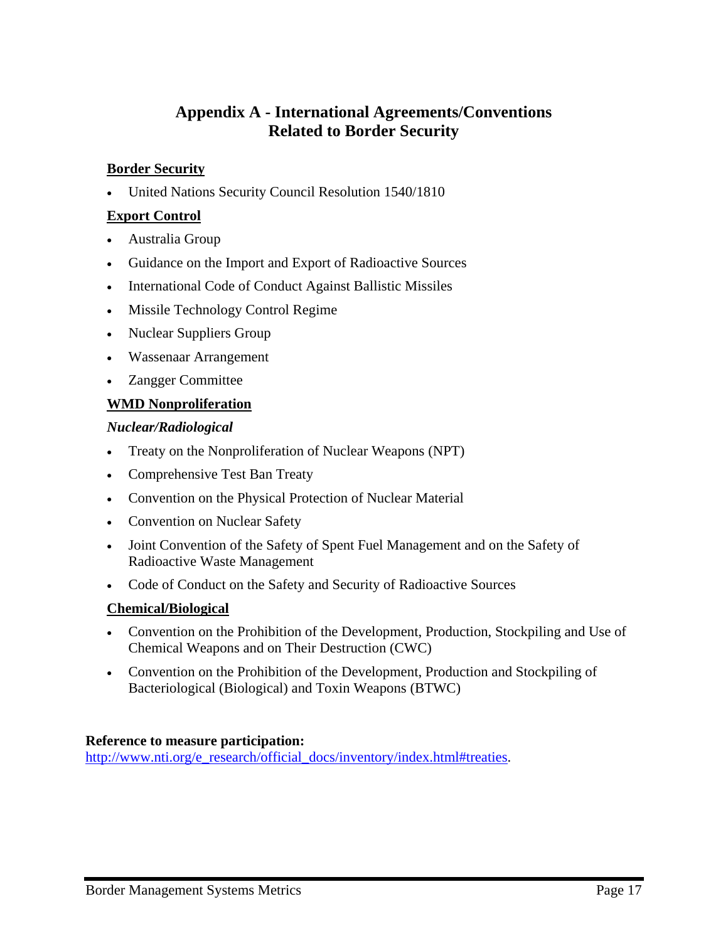### **Appendix A - International Agreements/Conventions Related to Border Security**

#### **Border Security**

United Nations Security Council Resolution 1540/1810

#### **Export Control**

- Australia Group
- Guidance on the Import and Export of Radioactive Sources
- International Code of Conduct Against Ballistic Missiles
- Missile Technology Control Regime
- Nuclear Suppliers Group
- Wassenaar Arrangement
- Zangger Committee

#### **WMD Nonproliferation**

#### *Nuclear/Radiological*

- Treaty on the Nonproliferation of Nuclear Weapons (NPT)
- Comprehensive Test Ban Treaty
- Convention on the Physical Protection of Nuclear Material
- Convention on Nuclear Safety
- Joint Convention of the Safety of Spent Fuel Management and on the Safety of Radioactive Waste Management
- Code of Conduct on the Safety and Security of Radioactive Sources

#### **Chemical/Biological**

- Convention on the Prohibition of the Development, Production, Stockpiling and Use of Chemical Weapons and on Their Destruction (CWC)
- Convention on the Prohibition of the Development, Production and Stockpiling of Bacteriological (Biological) and Toxin Weapons (BTWC)

#### **Reference to measure participation:**

http://www.nti.org/e\_research/official\_docs/inventory/index.html#treaties.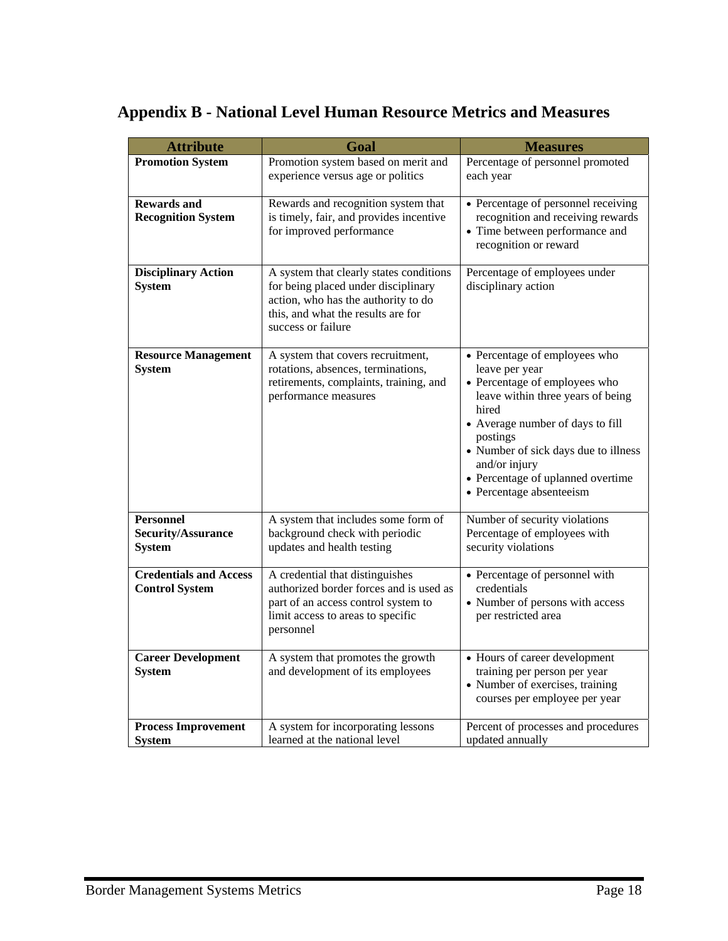| Appendix B - National Level Human Resource Metrics and Measures |  |
|-----------------------------------------------------------------|--|
|-----------------------------------------------------------------|--|

| <b>Attribute</b>                                               | Goal                                                                                                                                                                              | <b>Measures</b>                                                                                                                                                                                                                                                                                          |
|----------------------------------------------------------------|-----------------------------------------------------------------------------------------------------------------------------------------------------------------------------------|----------------------------------------------------------------------------------------------------------------------------------------------------------------------------------------------------------------------------------------------------------------------------------------------------------|
| <b>Promotion System</b>                                        | Promotion system based on merit and<br>experience versus age or politics                                                                                                          | Percentage of personnel promoted<br>each year                                                                                                                                                                                                                                                            |
| <b>Rewards and</b><br><b>Recognition System</b>                | Rewards and recognition system that<br>is timely, fair, and provides incentive<br>for improved performance                                                                        | • Percentage of personnel receiving<br>recognition and receiving rewards<br>• Time between performance and<br>recognition or reward                                                                                                                                                                      |
| <b>Disciplinary Action</b><br><b>System</b>                    | A system that clearly states conditions<br>for being placed under disciplinary<br>action, who has the authority to do<br>this, and what the results are for<br>success or failure | Percentage of employees under<br>disciplinary action                                                                                                                                                                                                                                                     |
| <b>Resource Management</b><br><b>System</b>                    | A system that covers recruitment,<br>rotations, absences, terminations,<br>retirements, complaints, training, and<br>performance measures                                         | • Percentage of employees who<br>leave per year<br>• Percentage of employees who<br>leave within three years of being<br>hired<br>• Average number of days to fill<br>postings<br>• Number of sick days due to illness<br>and/or injury<br>• Percentage of uplanned overtime<br>• Percentage absenteeism |
| <b>Personnel</b><br><b>Security/Assurance</b><br><b>System</b> | A system that includes some form of<br>background check with periodic<br>updates and health testing                                                                               | Number of security violations<br>Percentage of employees with<br>security violations                                                                                                                                                                                                                     |
| <b>Credentials and Access</b><br><b>Control System</b>         | A credential that distinguishes<br>authorized border forces and is used as<br>part of an access control system to<br>limit access to areas to specific<br>personnel               | • Percentage of personnel with<br>credentials<br>• Number of persons with access<br>per restricted area                                                                                                                                                                                                  |
| <b>Career Development</b><br><b>System</b>                     | A system that promotes the growth<br>and development of its employees                                                                                                             | • Hours of career development<br>training per person per year<br>• Number of exercises, training<br>courses per employee per year                                                                                                                                                                        |
| <b>Process Improvement</b><br><b>System</b>                    | A system for incorporating lessons<br>learned at the national level                                                                                                               | Percent of processes and procedures<br>updated annually                                                                                                                                                                                                                                                  |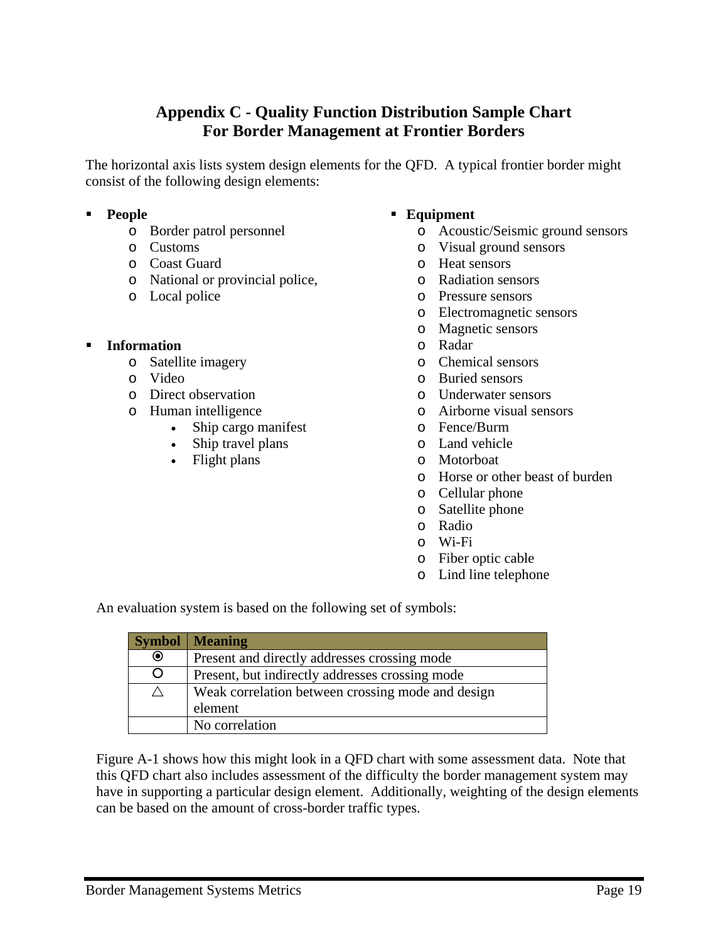### **Appendix C - Quality Function Distribution Sample Chart For Border Management at Frontier Borders**

The horizontal axis lists system design elements for the QFD. A typical frontier border might consist of the following design elements:

- **People** 
	- o Border patrol personnel
	- o Customs
	- o Coast Guard
	- o National or provincial police,
	- o Local police
- **Information** 
	- o Satellite imagery
	- o Video
	- o Direct observation
	- o Human intelligence
		- Ship cargo manifest
		- Ship travel plans
		- Flight plans
- **Equipment** 
	- o Acoustic/Seismic ground sensors
	- o Visual ground sensors
	- o Heat sensors
	- o Radiation sensors
	- o Pressure sensors
	- o Electromagnetic sensors
	- o Magnetic sensors
	- o Radar
	- o Chemical sensors
	- o Buried sensors
	- o Underwater sensors
	- o Airborne visual sensors
	- o Fence/Burm
	- o Land vehicle
	- o Motorboat
	- o Horse or other beast of burden
	- o Cellular phone
	- o Satellite phone
	- o Radio
	- o Wi-Fi
	- o Fiber optic cable
	- o Lind line telephone

An evaluation system is based on the following set of symbols:

| <b>Symbol</b> | <b>Meaning</b>                                    |
|---------------|---------------------------------------------------|
| $\odot$       | Present and directly addresses crossing mode      |
| O             | Present, but indirectly addresses crossing mode   |
| $\wedge$      | Weak correlation between crossing mode and design |
|               | element                                           |
|               | No correlation                                    |

Figure A-1 shows how this might look in a QFD chart with some assessment data. Note that this QFD chart also includes assessment of the difficulty the border management system may have in supporting a particular design element. Additionally, weighting of the design elements can be based on the amount of cross-border traffic types.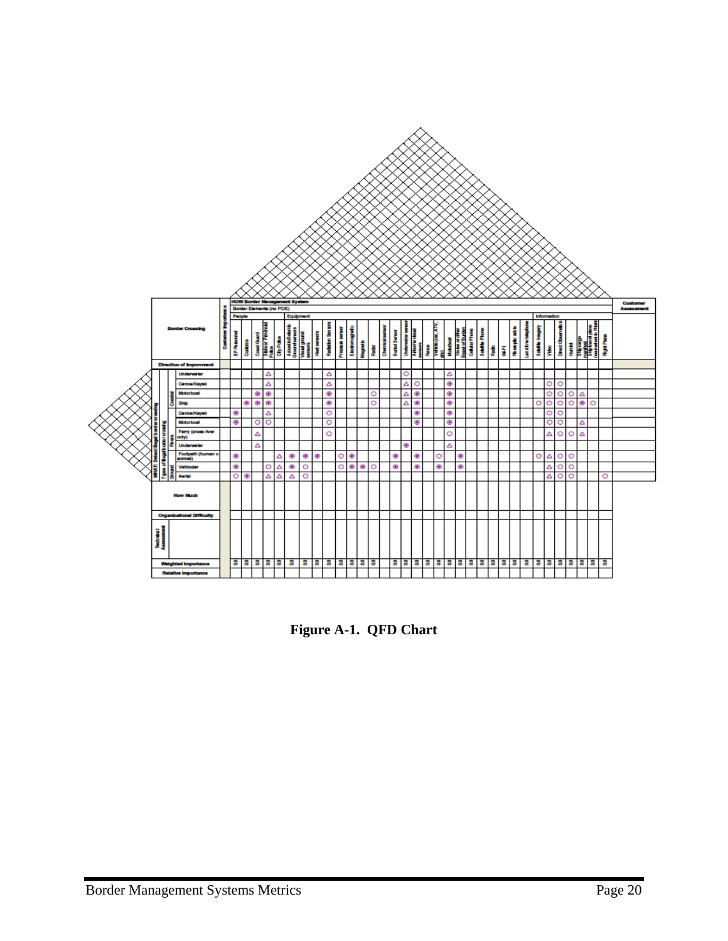

**Figure A-1. QFD Chart**